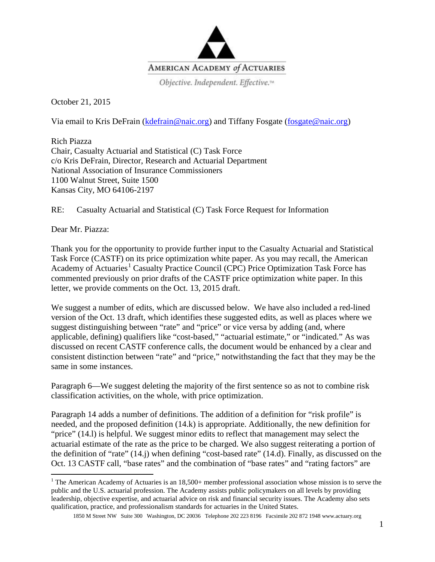

Objective. Independent. Effective.<sup>14</sup>

October 21, 2015

Via email to Kris DeFrain [\(kdefrain@naic.org\)](mailto:mwong@naic.org) and Tiffany Fosgate [\(fosgate@naic.org\)](mailto:fosgate@naic.org)

Rich Piazza Chair, Casualty Actuarial and Statistical (C) Task Force c/o Kris DeFrain, Director, Research and Actuarial Department National Association of Insurance Commissioners 1100 Walnut Street, Suite 1500 Kansas City, MO 64106-2197

RE: Casualty Actuarial and Statistical (C) Task Force Request for Information

Dear Mr. Piazza:

Thank you for the opportunity to provide further input to the Casualty Actuarial and Statistical Task Force (CASTF) on its price optimization white paper. As you may recall, the American Academy of Actuaries<sup>[1](#page-0-0)</sup> Casualty Practice Council (CPC) Price Optimization Task Force has commented previously on prior drafts of the CASTF price optimization white paper. In this letter, we provide comments on the Oct. 13, 2015 draft.

We suggest a number of edits, which are discussed below. We have also included a red-lined version of the Oct. 13 draft, which identifies these suggested edits, as well as places where we suggest distinguishing between "rate" and "price" or vice versa by adding (and, where applicable, defining) qualifiers like "cost-based," "actuarial estimate," or "indicated." As was discussed on recent CASTF conference calls, the document would be enhanced by a clear and consistent distinction between "rate" and "price," notwithstanding the fact that they may be the same in some instances.

Paragraph 6—We suggest deleting the majority of the first sentence so as not to combine risk classification activities, on the whole, with price optimization.

Paragraph 14 adds a number of definitions. The addition of a definition for "risk profile" is needed, and the proposed definition (14.k) is appropriate. Additionally, the new definition for "price" (14.l) is helpful. We suggest minor edits to reflect that management may select the actuarial estimate of the rate as the price to be charged. We also suggest reiterating a portion of the definition of "rate" (14.j) when defining "cost-based rate" (14.d). Finally, as discussed on the Oct. 13 CASTF call, "base rates" and the combination of "base rates" and "rating factors" are

<span id="page-0-0"></span><sup>&</sup>lt;sup>1</sup> The American Academy of Actuaries is an  $18,500+$  member professional association whose mission is to serve the public and the U.S. actuarial profession. The Academy assists public policymakers on all levels by providing leadership, objective expertise, and actuarial advice on risk and financial security issues. The Academy also sets qualification, practice, and professionalism standards for actuaries in the United States.

<sup>1850</sup> M Street NW Suite 300 Washington, DC 20036 Telephone 202 223 8196 Facsimile 202 872 1948 www.actuary.org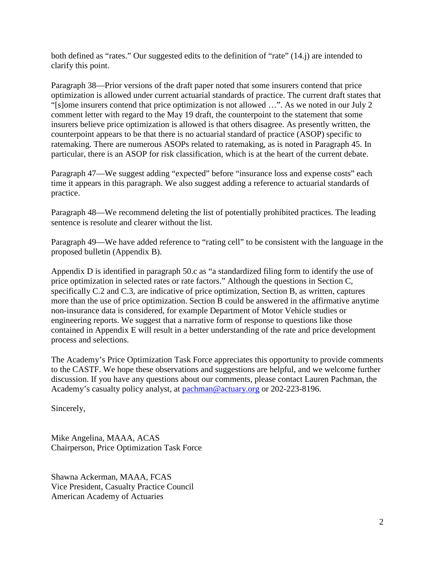both defined as "rates." Our suggested edits to the definition of "rate" (14.j) are intended to clarify this point.

Paragraph 38—Prior versions of the draft paper noted that some insurers contend that price optimization is allowed under current actuarial standards of practice. The current draft states that "[s]ome insurers contend that price optimization is not allowed …". As we noted in our July 2 comment letter with regard to the May 19 draft, the counterpoint to the statement that some insurers believe price optimization is allowed is that others disagree. As presently written, the counterpoint appears to be that there is no actuarial standard of practice (ASOP) specific to ratemaking. There are numerous ASOPs related to ratemaking, as is noted in Paragraph 45. In particular, there is an ASOP for risk classification, which is at the heart of the current debate.

Paragraph 47—We suggest adding "expected" before "insurance loss and expense costs" each time it appears in this paragraph. We also suggest adding a reference to actuarial standards of practice.

Paragraph 48—We recommend deleting the list of potentially prohibited practices. The leading sentence is resolute and clearer without the list.

Paragraph 49—We have added reference to "rating cell" to be consistent with the language in the proposed bulletin (Appendix B).

Appendix D is identified in paragraph 50.c as "a standardized filing form to identify the use of price optimization in selected rates or rate factors." Although the questions in Section C, specifically C.2 and C.3, are indicative of price optimization, Section B, as written, captures more than the use of price optimization. Section B could be answered in the affirmative anytime non-insurance data is considered, for example Department of Motor Vehicle studies or engineering reports. We suggest that a narrative form of response to questions like those contained in Appendix E will result in a better understanding of the rate and price development process and selections.

The Academy's Price Optimization Task Force appreciates this opportunity to provide comments to the CASTF. We hope these observations and suggestions are helpful, and we welcome further discussion. If you have any questions about our comments, please contact Lauren Pachman, the Academy's casualty policy analyst, at [pachman@actuary.org](mailto:pachman@actuary.org) or 202-223-8196.

Sincerely,

Mike Angelina, MAAA, ACAS Chairperson, Price Optimization Task Force

Shawna Ackerman, MAAA, FCAS Vice President, Casualty Practice Council American Academy of Actuaries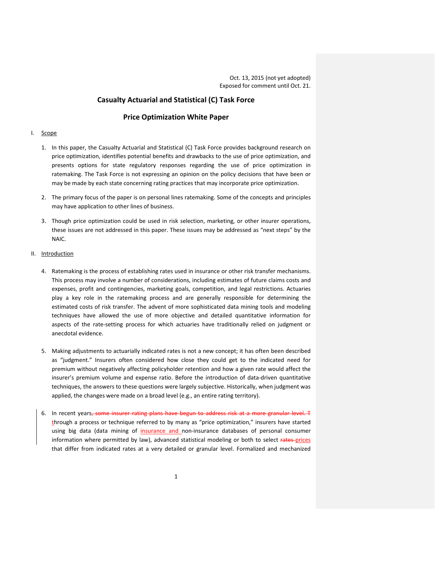## **Casualty Actuarial and Statistical (C) Task Force**

## **Price Optimization White Paper**

#### I. Scope

- 1. In this paper, the Casualty Actuarial and Statistical (C) Task Force provides background research on price optimization, identifies potential benefits and drawbacks to the use of price optimization, and presents options for state regulatory responses regarding the use of price optimization in ratemaking. The Task Force is not expressing an opinion on the policy decisions that have been or may be made by each state concerning rating practices that may incorporate price optimization.
- 2. The primary focus of the paper is on personal lines ratemaking. Some of the concepts and principles may have application to other lines of business.
- 3. Though price optimization could be used in risk selection, marketing, or other insurer operations, these issues are not addressed in this paper. These issues may be addressed as "next steps" by the NAIC.

## II. Introduction

- 4. Ratemaking is the process of establishing rates used in insurance or other risk transfer mechanisms. This process may involve a number of considerations, including estimates of future claims costs and expenses, profit and contingencies, marketing goals, competition, and legal restrictions. Actuaries play a key role in the ratemaking process and are generally responsible for determining the estimated costs of risk transfer. The advent of more sophisticated data mining tools and modeling techniques have allowed the use of more objective and detailed quantitative information for aspects of the rate-setting process for which actuaries have traditionally relied on judgment or anecdotal evidence.
- 5. Making adjustments to actuarially indicated rates is not a new concept; it has often been described as "judgment." Insurers often considered how close they could get to the indicated need for premium without negatively affecting policyholder retention and how a given rate would affect the insurer's premium volume and expense ratio. Before the introduction of data-driven quantitative techniques, the answers to these questions were largely subjective. Historically, when judgment was applied, the changes were made on a broad level (e.g., an entire rating territory).
- 6. In recent years, some insurer rating plans have begun to address risk at a more granular level. T through a process or technique referred to by many as "price optimization," insurers have started using big data (data mining of insurance and non-insurance databases of personal consumer information where permitted by law), advanced statistical modeling or both to select rates-prices that differ from indicated rates at a very detailed or granular level. Formalized and mechanized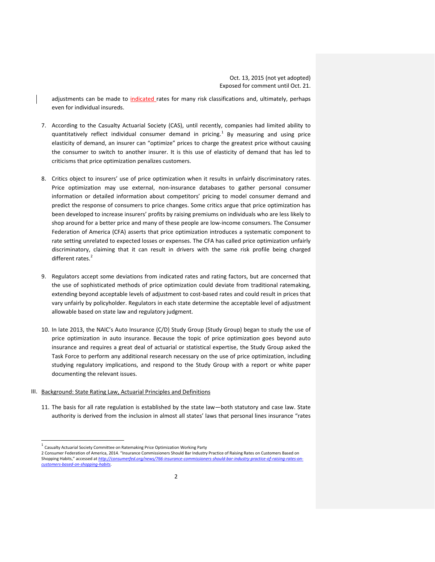adjustments can be made to indicated rates for many risk classifications and, ultimately, perhaps even for individual insureds.

- 7. According to the Casualty Actuarial Society (CAS), until recently, companies had limited ability to quantitatively reflect individual consumer demand in pricing.<sup>[1](#page-3-0)</sup> By measuring and using price elasticity of demand, an insurer can "optimize" prices to charge the greatest price without causing the consumer to switch to another insurer. It is this use of elasticity of demand that has led to criticisms that price optimization penalizes customers.
- 8. Critics object to insurers' use of price optimization when it results in unfairly discriminatory rates. Price optimization may use external, non-insurance databases to gather personal consumer information or detailed information about competitors' pricing to model consumer demand and predict the response of consumers to price changes. Some critics argue that price optimization has been developed to increase insurers' profits by raising premiums on individuals who are less likely to shop around for a better price and many of these people are low-income consumers. The Consumer Federation of America (CFA) asserts that price optimization introduces a systematic component to rate setting unrelated to expected losses or expenses. The CFA has called price optimization unfairly discriminatory, claiming that it can result in drivers with the same risk profile being charged different rates.<sup>[2](#page-3-1)</sup>
- 9. Regulators accept some deviations from indicated rates and rating factors, but are concerned that the use of sophisticated methods of price optimization could deviate from traditional ratemaking, extending beyond acceptable levels of adjustment to cost-based rates and could result in prices that vary unfairly by policyholder. Regulators in each state determine the acceptable level of adjustment allowable based on state law and regulatory judgment.
- 10. In late 2013, the NAIC's Auto Insurance (C/D) Study Group (Study Group) began to study the use of price optimization in auto insurance. Because the topic of price optimization goes beyond auto insurance and requires a great deal of actuarial or statistical expertise, the Study Group asked the Task Force to perform any additional research necessary on the use of price optimization, including studying regulatory implications, and respond to the Study Group with a report or white paper documenting the relevant issues.
- III. Background: State Rating Law, Actuarial Principles and Definitions
	- 11. The basis for all rate regulation is established by the state law—both statutory and case law. State authority is derived from the inclusion in almost all states' laws that personal lines insurance "rates

 $^{1}$  Casualty Actuarial Society Committee on Ratemaking Price Optimization Working Party

<span id="page-3-1"></span><span id="page-3-0"></span><sup>2</sup> Consumer Federation of America, 2014. "Insurance Commissioners Should Bar Industry Practice of Raising Rates on Customers Based on Shopping Habits," accessed at *[http://consumerfed.org/news/766-insurance-commissioners-should-bar-industry-practice-of-raising-rates-on](http://consumerfed.org/news/766-insurance-commissioners-should-bar-industry-practice-of-raising-rates-on-customers-based-on-shopping-habits)[customers-based-on-shopping-habits](http://consumerfed.org/news/766-insurance-commissioners-should-bar-industry-practice-of-raising-rates-on-customers-based-on-shopping-habits)*.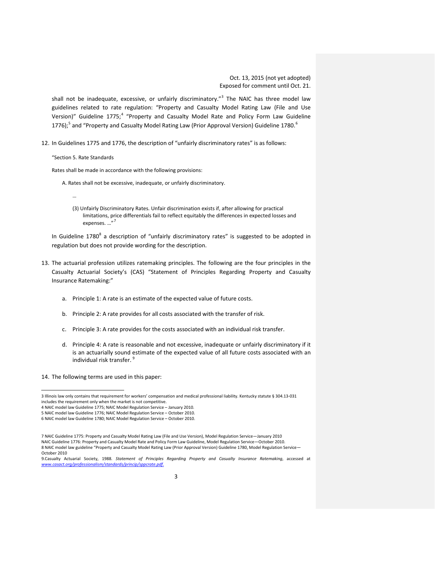shall not be inadequate, excessive, or unfairly discriminatory."<sup>[3](#page-4-0)</sup> The NAIC has three model law guidelines related to rate regulation: "Property and Casualty Model Rating Law (File and Use Version)" Guideline 1775;<sup>[4](#page-4-1)</sup> "Property and Casualty Model Rate and Policy Form Law Guideline 1776);<sup>[5](#page-4-2)</sup> and "Property and Casualty Model Rating Law (Prior Approval Version) Guideline 1780.<sup>[6](#page-4-3)</sup>

12. In Guidelines 1775 and 1776, the description of "unfairly discriminatory rates" is as follows:

"Section 5. Rate Standards

…

Rates shall be made in accordance with the following provisions:

A. Rates shall not be excessive, inadequate, or unfairly discriminatory.

(3) Unfairly Discriminatory Rates. Unfair discrimination exists if, after allowing for practical limitations, price differentials fail to reflect equitably the differences in expected losses and expenses. ..."<sup>[7](#page-4-4)</sup>

In Guideline 17[8](#page-4-5)0<sup>8</sup> a description of "unfairly discriminatory rates" is suggested to be adopted in regulation but does not provide wording for the description.

- 13. The actuarial profession utilizes ratemaking principles. The following are the four principles in the Casualty Actuarial Society's (CAS) "Statement of Principles Regarding Property and Casualty Insurance Ratemaking:"
	- a. Principle 1: A rate is an estimate of the expected value of future costs.
	- b. Principle 2: A rate provides for all costs associated with the transfer of risk.
	- c. Principle 3: A rate provides for the costs associated with an individual risk transfer.
	- d. Principle 4: A rate is reasonable and not excessive, inadequate or unfairly discriminatory if it is an actuarially sound estimate of the expected value of all future costs associated with an individual risk transfer.<sup>[9](#page-4-6)</sup>

14. The following terms are used in this paper:

 <sup>3</sup> Illinois law only contains that requirement for workers' compensation and medical professional liability. Kentucky statute § 304.13-031 includes the requirement only when the market is not competitive.

<sup>4</sup> NAIC model law Guideline 1775; NAIC Model Regulation Service – January 2010.

<sup>5</sup> NAIC model law Guideline 1776; NAIC Model Regulation Service – October 2010.

<span id="page-4-0"></span><sup>6</sup> NAIC model law Guideline 1780; NAIC Model Regulation Service – October 2010.

<span id="page-4-2"></span><span id="page-4-1"></span><sup>7</sup> NAIC Guideline 1775: Property and Casualty Model Rating Law (File and Use Version), Model Regulation Service—January 2010 NAIC Guideline 1776: Property and Casualty Model Rate and Policy Form Law Guideline, Model Regulation Service—October 2010. 8 NAIC model law guideline "Property and Casualty Model Rating Law (Prior Approval Version) Guideline 1780, Model Regulation Service— October 2010

<span id="page-4-6"></span><span id="page-4-5"></span><span id="page-4-4"></span><span id="page-4-3"></span><sup>9.</sup>Casualty Actuarial Society, 1988. *Statement of Principles Regarding Property and Casualty Insurance Ratemaking*, accessed at *[www.casact.org/professionalism/standards/princip/sppcrate.pdf](http://www.casact.org/professionalism/standards/princip/sppcrate.pdf)*.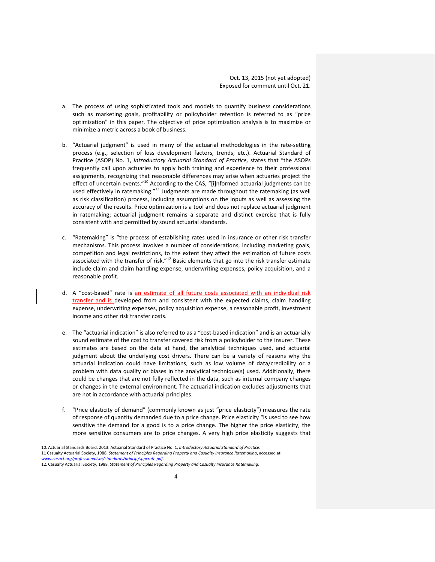- a. The process of using sophisticated tools and models to quantify business considerations such as marketing goals, profitability or policyholder retention is referred to as "price optimization" in this paper. The objective of price optimization analysis is to maximize or minimize a metric across a book of business.
- b. "Actuarial judgment" is used in many of the actuarial methodologies in the rate-setting process (e.g., selection of loss development factors, trends, etc.). Actuarial Standard of Practice (ASOP) No. 1, *Introductory Actuarial Standard of Practice,* states that "the ASOPs frequently call upon actuaries to apply both training and experience to their professional assignments, recognizing that reasonable differences may arise when actuaries project the effect of uncertain events."<sup>[10](#page-5-0)</sup> According to the CAS, "[i]nformed actuarial judgments can be used effectively in ratemaking."<sup>[11](#page-5-1)</sup> Judgments are made throughout the ratemaking (as well as risk classification) process, including assumptions on the inputs as well as assessing the accuracy of the results. Price optimization is a tool and does not replace actuarial judgment in ratemaking; actuarial judgment remains a separate and distinct exercise that is fully consistent with and permitted by sound actuarial standards.
- c. "Ratemaking" is "the process of establishing rates used in insurance or other risk transfer mechanisms. This process involves a number of considerations, including marketing goals, competition and legal restrictions, to the extent they affect the estimation of future costs associated with the transfer of risk."<sup>[12](#page-5-2)</sup> Basic elements that go into the risk transfer estimate include claim and claim handling expense, underwriting expenses, policy acquisition, and a reasonable profit.
- d. A "cost-based" rate is an estimate of all future costs associated with an individual risk transfer and is developed from and consistent with the expected claims, claim handling expense, underwriting expenses, policy acquisition expense, a reasonable profit, investment income and other risk transfer costs.
- e. The "actuarial indication" is also referred to as a "cost-based indication" and is an actuarially sound estimate of the cost to transfer covered risk from a policyholder to the insurer. These estimates are based on the data at hand, the analytical techniques used, and actuarial judgment about the underlying cost drivers. There can be a variety of reasons why the actuarial indication could have limitations, such as low volume of data/credibility or a problem with data quality or biases in the analytical technique(s) used. Additionally, there could be changes that are not fully reflected in the data, such as internal company changes or changes in the external environment. The actuarial indication excludes adjustments that are not in accordance with actuarial principles.
- f. "Price elasticity of demand" (commonly known as just "price elasticity") measures the rate of response of quantity demanded due to a price change. Price elasticity "is used to see how sensitive the demand for a good is to a price change. The higher the price elasticity, the more sensitive consumers are to price changes. A very high price elasticity suggests that

 10. Actuarial Standards Board, 2013. Actuarial Standard of Practice No. 1, *Introductory Actuarial Standard of Practice*. 11 Casualty Actuarial Society, 1988. *Statement of Principles Regarding Property and Casualty Insurance Ratemaking*, accessed at *[www.casact.org/professionalism/standards/princip/sppcrate.pdf](http://www.casact.org/professionalism/standards/princip/sppcrate.pdf)*.

<span id="page-5-2"></span><span id="page-5-1"></span><span id="page-5-0"></span><sup>12.</sup> Casualty Actuarial Society, 1988. *Statement of Principles Regarding Property and Casualty Insurance Ratemaking*.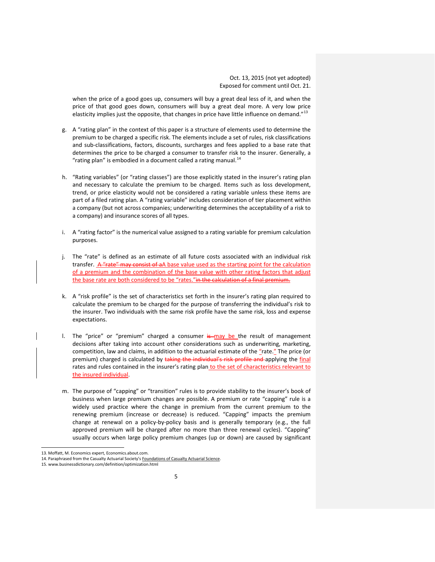when the price of a good goes up, consumers will buy a great deal less of it, and when the price of that good goes down, consumers will buy a great deal more. A very low price elasticity implies just the opposite, that changes in price have little influence on demand."<sup>[13](#page-6-0)</sup>

- g. A "rating plan" in the context of this paper is a structure of elements used to determine the premium to be charged a specific risk. The elements include a set of rules, risk classifications and sub-classifications, factors, discounts, surcharges and fees applied to a base rate that determines the price to be charged a consumer to transfer risk to the insurer. Generally, a "rating plan" is embodied in a document called a rating manual.<sup>[14](#page-6-1)</sup>
- h. "Rating variables" (or "rating classes") are those explicitly stated in the insurer's rating plan and necessary to calculate the premium to be charged. Items such as loss development, trend, or price elasticity would not be considered a rating variable unless these items are part of a filed rating plan. A "rating variable" includes consideration of tier placement within a company (but not across companies; underwriting determines the acceptability of a risk to a company) and insurance scores of all types.
- i. A "rating factor" is the numerical value assigned to a rating variable for premium calculation purposes.
- j. The "rate" is defined as an estimate of all future costs associated with an individual risk transfer. A "rate" may consist of aA base value used as the starting point for the calculation of a premium and the combination of the base value with other rating factors that adjust the base rate are both considered to be "rates."in the calculation of a final premium.
- k. A "risk profile" is the set of characteristics set forth in the insurer's rating plan required to calculate the premium to be charged for the purpose of transferring the individual's risk to the insurer. Two individuals with the same risk profile have the same risk, loss and expense expectations.
- l. The "price" or "premium" charged a consumer is may be the result of management decisions after taking into account other considerations such as underwriting, marketing, competition, law and claims, in addition to the actuarial estimate of the "rate." The price (or premium) charged is calculated by taking the individual's risk profile and applying the final rates and rules contained in the insurer's rating plan to the set of characteristics relevant to the insured individual.
- m. The purpose of "capping" or "transition" rules is to provide stability to the insurer's book of business when large premium changes are possible. A premium or rate "capping" rule is a widely used practice where the change in premium from the current premium to the renewing premium (increase or decrease) is reduced. "Capping" impacts the premium change at renewal on a policy-by-policy basis and is generally temporary (e.g., the full approved premium will be charged after no more than three renewal cycles). "Capping" usually occurs when large policy premium changes (up or down) are caused by significant

 <sup>13.</sup> Moffatt, M. Economics expert, Economics.about.com.

<sup>14.</sup> Paraphrased from the Casualty Actuarial Society's Foundations of Casualty Actuarial Science.

<span id="page-6-1"></span><span id="page-6-0"></span><sup>15.</sup> www.businessdictionary.com/definition/optimization.html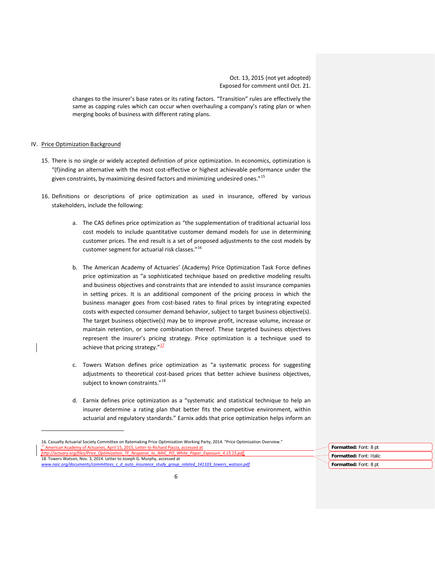changes to the insurer's base rates or its rating factors. "Transition" rules are effectively the same as capping rules which can occur when overhauling a company's rating plan or when merging books of business with different rating plans.

### IV. Price Optimization Background

 $\overline{a}$ 

- 15. There is no single or widely accepted definition of price optimization. In economics, optimization is "(f)inding an alternative with the most cost-effective or highest achievable performance under the given constraints, by maximizing desired factors and minimizing undesired ones."[15](#page-7-0)
- 16. Definitions or descriptions of price optimization as used in insurance, offered by various stakeholders, include the following:
	- a. The CAS defines price optimization as "the supplementation of traditional actuarial loss cost models to include quantitative customer demand models for use in determining customer prices. The end result is a set of proposed adjustments to the cost models by customer segment for actuarial risk classes."[16](#page-7-1)
	- b. The American Academy of Actuaries' (Academy) Price Optimization Task Force defines price optimization as "a sophisticated technique based on predictive modeling results and business objectives and constraints that are intended to assist insurance companies in setting prices. It is an additional component of the pricing process in which the business manager goes from cost-based rates to final prices by integrating expected costs with expected consumer demand behavior, subject to target business objective(s). The target business objective(s) may be to improve profit, increase volume, increase or maintain retention, or some combination thereof. These targeted business objectives represent the insurer's pricing strategy. Price optimization is a technique used to achieve that pricing strategy. $^{\prime\prime}$ <sup>[17](#page-7-2)</sup>
	- c. Towers Watson defines price optimization as "a systematic process for suggesting adjustments to theoretical cost-based prices that better achieve business objectives, subject to known constraints."<sup>[18](#page-7-3)</sup>
	- d. Earnix defines price optimization as a "systematic and statistical technique to help an insurer determine a rating plan that better fits the competitive environment, within actuarial and regulatory standards." Earnix adds that price optimization helps inform an

<span id="page-7-3"></span><span id="page-7-2"></span><span id="page-7-1"></span><span id="page-7-0"></span><sup>16.</sup> Casualty Actuarial Society Committee on Ratemaking Price Optimization Working Party, 2014. "Price Optimization Overview."<br><sup>17</sup> American Academy of Actuaries, April 15, 2015, Letter to Richard Piazza, accessed at *[http://actuary.org/files/Price\\_Optimization\\_TF\\_Response\\_to\\_NAIC\\_PO\\_White\\_Paper\\_Exposure\\_4.15.15.pdf](http://actuary.org/files/Price_Optimization_TF_Response_to_NAIC_PO_White_Paper_Exposure_4.15.15.pdf)*. 18. Towers Watson, Nov. 3, 2014. Letter to Joseph G. Murphy, accessed at *[www.naic.org/documents/committees\\_c\\_d\\_auto\\_insurance\\_study\\_group\\_related\\_141103\\_towers\\_watson.pdf](http://www.naic.org/documents/committees_c_d_auto_insurance_study_group_related_141103_towers_watson.pdf)*. **Formatted:** Font: 8 pt **Formatted:** Font: Italic **Formatted:** Font: 8 pt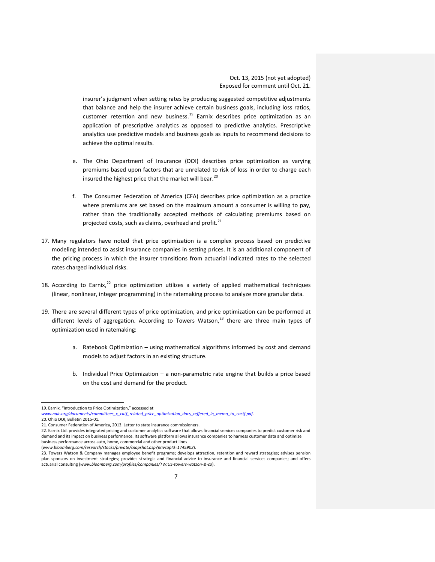insurer's judgment when setting rates by producing suggested competitive adjustments that balance and help the insurer achieve certain business goals, including loss ratios, customer retention and new business. $19$  Earnix describes price optimization as an application of prescriptive analytics as opposed to predictive analytics. Prescriptive analytics use predictive models and business goals as inputs to recommend decisions to achieve the optimal results.

- e. The Ohio Department of Insurance (DOI) describes price optimization as varying premiums based upon factors that are unrelated to risk of loss in order to charge each insured the highest price that the market will bear.<sup>[20](#page-8-1)</sup>
- f. The Consumer Federation of America (CFA) describes price optimization as a practice where premiums are set based on the maximum amount a consumer is willing to pay, rather than the traditionally accepted methods of calculating premiums based on projected costs, such as claims, overhead and profit.<sup>[21](#page-8-2)</sup>
- 17. Many regulators have noted that price optimization is a complex process based on predictive modeling intended to assist insurance companies in setting prices. It is an additional component of the pricing process in which the insurer transitions from actuarial indicated rates to the selected rates charged individual risks.
- 18. According to Earnix, $2^2$  price optimization utilizes a variety of applied mathematical techniques (linear, nonlinear, integer programming) in the ratemaking process to analyze more granular data.
- 19. There are several different types of price optimization, and price optimization can be performed at different levels of aggregation. According to Towers Watson, $^{23}$  $^{23}$  $^{23}$  there are three main types of optimization used in ratemaking:
	- a. Ratebook Optimization using mathematical algorithms informed by cost and demand models to adjust factors in an existing structure.
	- b. Individual Price Optimization a non-parametric rate engine that builds a price based on the cost and demand for the product.

<sup>19.</sup> Earnix. "Introduction to Price Optimization," accessed at www.naic.org/documents/committees c catf related price

www.naic.org/documents/comi 20. Ohio DOI, Bulletin 2015-01.

<sup>21.</sup> Consumer Federation of America, 2013. Letter to state insurance commissioners.

<span id="page-8-0"></span><sup>22.</sup> Earnix Ltd. provides integrated pricing and customer analytics software that allows financial services companies to predict customer risk and demand and its impact on business performance. Its software platform allows insurance companies to harness customer data and optimize business performance across auto, home, commercial and other product lines

<sup>(</sup>*www.bloomberg.com/research/stocks/private/snapshot.asp?privcapId=1745902*).

<span id="page-8-4"></span><span id="page-8-3"></span><span id="page-8-2"></span><span id="page-8-1"></span><sup>23.</sup> Towers Watson & Company manages employee benefit programs; develops attraction, retention and reward strategies; advises pension plan sponsors on investment strategies; provides strategic and financial advice to insurance and financial services companies; and offers actuarial consulting (*www.bloomberg.com/profiles/companies/TW:US-towers-watson-&-co*).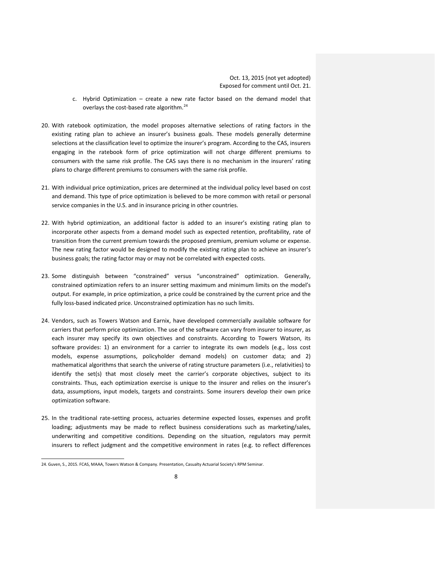- c. Hybrid Optimization create a new rate factor based on the demand model that overlays the cost-based rate algorithm.<sup>[24](#page-9-0)</sup>
- 20. With ratebook optimization, the model proposes alternative selections of rating factors in the existing rating plan to achieve an insurer's business goals. These models generally determine selections at the classification level to optimize the insurer's program. According to the CAS, insurers engaging in the ratebook form of price optimization will not charge different premiums to consumers with the same risk profile. The CAS says there is no mechanism in the insurers' rating plans to charge different premiums to consumers with the same risk profile.
- 21. With individual price optimization, prices are determined at the individual policy level based on cost and demand. This type of price optimization is believed to be more common with retail or personal service companies in the U.S. and in insurance pricing in other countries.
- 22. With hybrid optimization, an additional factor is added to an insurer's existing rating plan to incorporate other aspects from a demand model such as expected retention, profitability, rate of transition from the current premium towards the proposed premium, premium volume or expense. The new rating factor would be designed to modify the existing rating plan to achieve an insurer's business goals; the rating factor may or may not be correlated with expected costs.
- 23. Some distinguish between "constrained" versus "unconstrained" optimization. Generally, constrained optimization refers to an insurer setting maximum and minimum limits on the model's output. For example, in price optimization, a price could be constrained by the current price and the fully loss-based indicated price. Unconstrained optimization has no such limits.
- 24. Vendors, such as Towers Watson and Earnix, have developed commercially available software for carriers that perform price optimization. The use of the software can vary from insurer to insurer, as each insurer may specify its own objectives and constraints. According to Towers Watson, its software provides: 1) an environment for a carrier to integrate its own models (e.g., loss cost models, expense assumptions, policyholder demand models) on customer data; and 2) mathematical algorithms that search the universe of rating structure parameters (i.e., relativities) to identify the set(s) that most closely meet the carrier's corporate objectives, subject to its constraints. Thus, each optimization exercise is unique to the insurer and relies on the insurer's data, assumptions, input models, targets and constraints. Some insurers develop their own price optimization software.
- 25. In the traditional rate-setting process, actuaries determine expected losses, expenses and profit loading; adjustments may be made to reflect business considerations such as marketing/sales, underwriting and competitive conditions. Depending on the situation, regulators may permit insurers to reflect judgment and the competitive environment in rates (e.g. to reflect differences

<span id="page-9-0"></span> <sup>24.</sup> Guven, S., 2015. FCAS, MAAA, Towers Watson & Company. Presentation, Casualty Actuarial Society's RPM Seminar.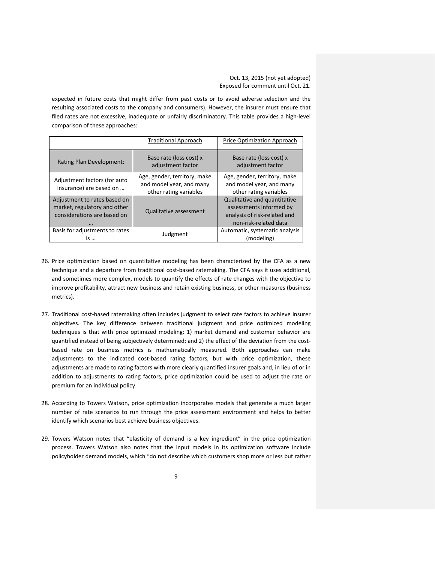expected in future costs that might differ from past costs or to avoid adverse selection and the resulting associated costs to the company and consumers). However, the insurer must ensure that filed rates are not excessive, inadequate or unfairly discriminatory. This table provides a high-level comparison of these approaches:

|                                                                                                 | <b>Traditional Approach</b>                                                        | <b>Price Optimization Approach</b>                                                                               |
|-------------------------------------------------------------------------------------------------|------------------------------------------------------------------------------------|------------------------------------------------------------------------------------------------------------------|
| <b>Rating Plan Development:</b>                                                                 | Base rate (loss cost) x<br>adjustment factor                                       | Base rate (loss cost) x<br>adjustment factor                                                                     |
| Adjustment factors (for auto<br>insurance) are based on                                         | Age, gender, territory, make<br>and model year, and many<br>other rating variables | Age, gender, territory, make<br>and model year, and many<br>other rating variables                               |
| Adjustment to rates based on<br>market, regulatory and other<br>considerations are based on<br> | Qualitative assessment                                                             | Qualitative and quantitative<br>assessments informed by<br>analysis of risk-related and<br>non-risk-related data |
| Basis for adjustments to rates<br>is                                                            | Judgment                                                                           | Automatic, systematic analysis<br>(modeling)                                                                     |

- 26. Price optimization based on quantitative modeling has been characterized by the CFA as a new technique and a departure from traditional cost-based ratemaking. The CFA says it uses additional, and sometimes more complex, models to quantify the effects of rate changes with the objective to improve profitability, attract new business and retain existing business, or other measures (business metrics).
- 27. Traditional cost-based ratemaking often includes judgment to select rate factors to achieve insurer objectives. The key difference between traditional judgment and price optimized modeling techniques is that with price optimized modeling: 1) market demand and customer behavior are quantified instead of being subjectively determined; and 2) the effect of the deviation from the costbased rate on business metrics is mathematically measured. Both approaches can make adjustments to the indicated cost-based rating factors, but with price optimization, these adjustments are made to rating factors with more clearly quantified insurer goals and, in lieu of or in addition to adjustments to rating factors, price optimization could be used to adjust the rate or premium for an individual policy.
- 28. According to Towers Watson, price optimization incorporates models that generate a much larger number of rate scenarios to run through the price assessment environment and helps to better identify which scenarios best achieve business objectives.
- 29. Towers Watson notes that "elasticity of demand is a key ingredient" in the price optimization process. Towers Watson also notes that the input models in its optimization software include policyholder demand models, which "do not describe which customers shop more or less but rather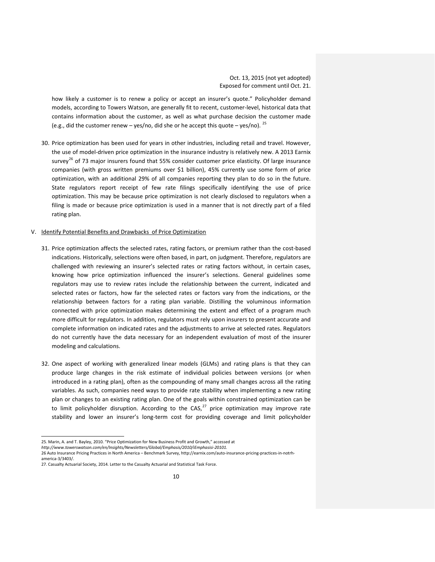how likely a customer is to renew a policy or accept an insurer's quote." Policyholder demand models, according to Towers Watson, are generally fit to recent, customer-level, historical data that contains information about the customer, as well as what purchase decision the customer made (e.g., did the customer renew – yes/no, did she or he accept this quote – yes/no). <sup>[25](#page-11-0)</sup>

30. Price optimization has been used for years in other industries, including retail and travel. However, the use of model-driven price optimization in the insurance industry is relatively new. A 2013 Earnix survey<sup>[26](#page-11-1)</sup> of 73 major insurers found that 55% consider customer price elasticity. Of large insurance companies (with gross written premiums over \$1 billion), 45% currently use some form of price optimization, with an additional 29% of all companies reporting they plan to do so in the future. State regulators report receipt of few rate filings specifically identifying the use of price optimization. This may be because price optimization is not clearly disclosed to regulators when a filing is made or because price optimization is used in a manner that is not directly part of a filed rating plan.

#### V. Identify Potential Benefits and Drawbacks of Price Optimization

- 31. Price optimization affects the selected rates, rating factors, or premium rather than the cost-based indications. Historically, selections were often based, in part, on judgment. Therefore, regulators are challenged with reviewing an insurer's selected rates or rating factors without, in certain cases, knowing how price optimization influenced the insurer's selections. General guidelines some regulators may use to review rates include the relationship between the current, indicated and selected rates or factors, how far the selected rates or factors vary from the indications, or the relationship between factors for a rating plan variable. Distilling the voluminous information connected with price optimization makes determining the extent and effect of a program much more difficult for regulators. In addition, regulators must rely upon insurers to present accurate and complete information on indicated rates and the adjustments to arrive at selected rates. Regulators do not currently have the data necessary for an independent evaluation of most of the insurer modeling and calculations.
- 32. One aspect of working with generalized linear models (GLMs) and rating plans is that they can produce large changes in the risk estimate of individual policies between versions (or when introduced in a rating plan), often as the compounding of many small changes across all the rating variables. As such, companies need ways to provide rate stability when implementing a new rating plan or changes to an existing rating plan. One of the goals within constrained optimization can be to limit policyholder disruption. According to the  $CAS$ ,  $27$  price optimization may improve rate stability and lower an insurer's long-term cost for providing coverage and limit policyholder

 <sup>25.</sup> Marin, A. and T. Bayley, 2010. "Price Optimization for New Business Profit and Growth," accessed at

*http://www.towerswatson.com/en/Insights/Newsletters/Global/Emphasis/2010/iEmphasisi-20101.*

<sup>26</sup> Auto Insurance Pricing Practices in North America – Benchmark Survey, http://earnix.com/auto-insurance-pricing-practices-in-notrhamerica-3/3403/.

<span id="page-11-2"></span><span id="page-11-1"></span><span id="page-11-0"></span><sup>27.</sup> Casualty Actuarial Society, 2014. Letter to the Casualty Actuarial and Statistical Task Force.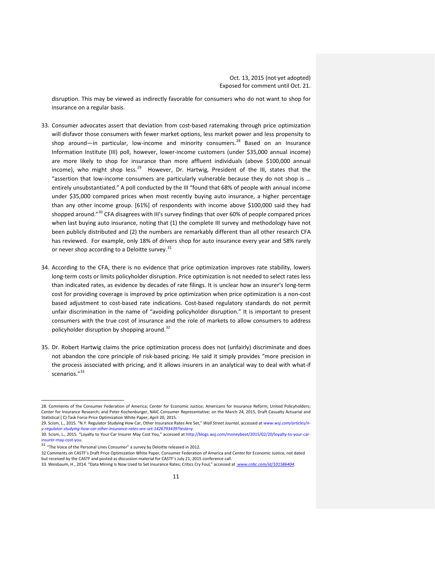disruption. This may be viewed as indirectly favorable for consumers who do not want to shop for insurance on a regular basis.

- 33. Consumer advocates assert that deviation from cost-based ratemaking through price optimization will disfavor those consumers with fewer market options, less market power and less propensity to shop around—in particular, low-income and minority consumers. $^{28}$  $^{28}$  $^{28}$  Based on an Insurance Information Institute (III) poll, however, lower-income customers (under \$35,000 annual income) are more likely to shop for insurance than more affluent individuals (above \$100,000 annual income), who might shop less.<sup>[29](#page-12-1)</sup> However, Dr. Hartwig, President of the III, states that the "assertion that low-income consumers are particularly vulnerable because they do not shop is … entirely unsubstantiated." A poll conducted by the III "found that 68% of people with annual income under \$35,000 compared prices when most recently buying auto insurance, a higher percentage than any other income group. [61%] of respondents with income above \$100,000 said they had shopped around."<sup>[30](#page-12-2)</sup> CFA disagrees with III's survey findings that over 60% of people compared prices when last buying auto insurance, noting that (1) the complete III survey and methodology have not been publicly distributed and (2) the numbers are remarkably different than all other research CFA has reviewed. For example, only 18% of drivers shop for auto insurance every year and 58% rarely or never shop according to a Deloitte survey.<sup>[31](#page-12-3)</sup>
- 34. According to the CFA, there is no evidence that price optimization improves rate stability, lowers long-term costs or limits policyholder disruption. Price optimization is not needed to select rates less than indicated rates, as evidence by decades of rate filings. It is unclear how an insurer's long-term cost for providing coverage is improved by price optimization when price optimization is a non-cost based adjustment to cost-based rate indications. Cost-based regulatory standards do not permit unfair discrimination in the name of "avoiding policyholder disruption." It is important to present consumers with the true cost of insurance and the role of markets to allow consumers to address policyholder disruption by shopping around. $32$
- 35. Dr. Robert Hartwig claims the price optimization process does not (unfairly) discriminate and does not abandon the core principle of risk-based pricing. He said it simply provides "more precision in the process associated with pricing, and it allows insurers in an analytical way to deal with what-if scenarios."<sup>[33](#page-12-5)</sup>

 <sup>28.</sup> Comments of the Consumer Federation of America; Center for Economic Justice; Americans for Insurance Reform; United Policyholders; Center for Insurance Research; and Peter Kochenburger, NAIC Consumer Representative; on the March 24, 2015, Draft Casualty Actuarial and Statistical ( C) Task Force Price Optimization White Paper, April 20, 2015.

<sup>29.</sup> Scism, L., 2015. "N.Y. Regulator Studying How Car, Other Insurance Rates Are Set," *Wall Street Journal*, accessed at *www.wsj.com/articles/ny-regulator-studying-how-car-other-insurance-rates-are-set-1426793439?tesla=y*.

<span id="page-12-0"></span><sup>30.</sup> Scism, L., 2015. "Loyalty to Your Car Insurer May Cost You," accessed at http://blogs.wsj.com/moneybeat/2015/02/20/loyalty-to-your-carinsurer-may-cost-you.

 $31$  "The Voice of the Personal Lines Consumer" a survey by Deloitte released in 2012.

<span id="page-12-1"></span><sup>32</sup> Comments on CASTF's Draft Price Optimization White Paper, Consumer Federation of America and Center for Economic Justice, not dated but received by the CASTF and posted as discussion material for CASTF's July 21, 2015 conference call.

<span id="page-12-5"></span><span id="page-12-4"></span><span id="page-12-3"></span><span id="page-12-2"></span><sup>33.</sup> Weisbaum, H., 2014. "Data Mining Is Now Used to Set Insurance Rates; Critics Cry Foul," accessed at *www.cnbc.com/id/101586404*.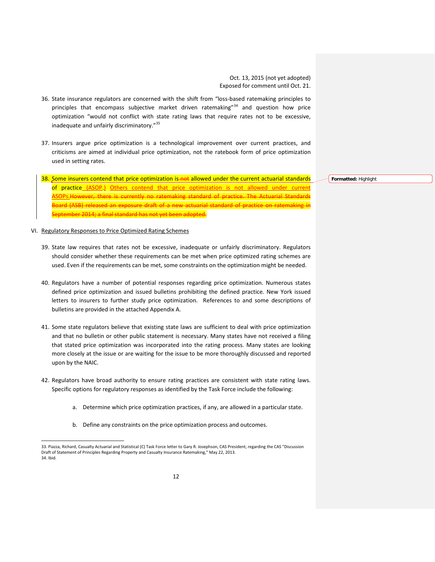- 36. State insurance regulators are concerned with the shift from "loss-based ratemaking principles to principles that encompass subjective market driven ratemaking" $34$  and question how price optimization "would not conflict with state rating laws that require rates not to be excessive, inadequate and unfairly discriminatory."[35](#page-13-1)
- 37. Insurers argue price optimization is a technological improvement over current practices, and criticisms are aimed at individual price optimization, not the ratebook form of price optimization used in setting rates.
- 38. Some insurers contend that price optimization is not allowed under the current actuarial standards of practice (ASOP.) Others contend that price optimization is not allowed under current ASOPs. However, there is currently no ratemaking standard of practice. The Actuarial Standards Board (ASB) released an exposure draft of a new actuarial standard of practice on ratemaking in September 2014; a final standard has not yet been adopted.

## VI. Regulatory Responses to Price Optimized Rating Schemes

- 39. State law requires that rates not be excessive, inadequate or unfairly discriminatory. Regulators should consider whether these requirements can be met when price optimized rating schemes are used. Even if the requirements can be met, some constraints on the optimization might be needed.
- 40. Regulators have a number of potential responses regarding price optimization. Numerous states defined price optimization and issued bulletins prohibiting the defined practice. New York issued letters to insurers to further study price optimization. References to and some descriptions of bulletins are provided in the attached Appendix A.
- 41. Some state regulators believe that existing state laws are sufficient to deal with price optimization and that no bulletin or other public statement is necessary. Many states have not received a filing that stated price optimization was incorporated into the rating process. Many states are looking more closely at the issue or are waiting for the issue to be more thoroughly discussed and reported upon by the NAIC.
- 42. Regulators have broad authority to ensure rating practices are consistent with state rating laws. Specific options for regulatory responses as identified by the Task Force include the following:
	- a. Determine which price optimization practices, if any, are allowed in a particular state.
	- b. Define any constraints on the price optimization process and outcomes.

**Formatted:** Highlight

<span id="page-13-1"></span><span id="page-13-0"></span> <sup>33.</sup> Piazza, Richard, Casualty Actuarial and Statistical (C) Task Force letter to Gary R. Josephson, CAS President, regarding the CAS "Discussion Draft of Statement of Principles Regarding Property and Casualty Insurance Ratemaking," May 22, 2013. 34. Ibid.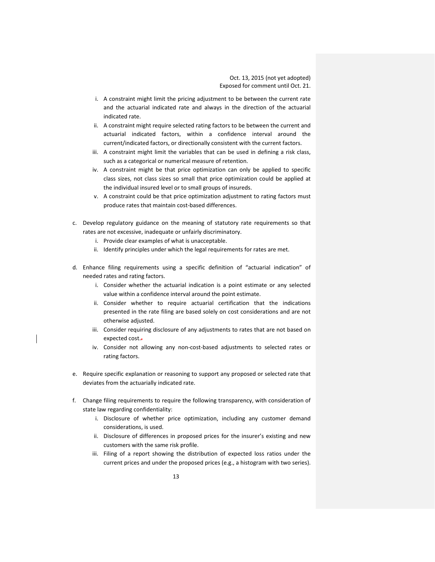- i. A constraint might limit the pricing adjustment to be between the current rate and the actuarial indicated rate and always in the direction of the actuarial indicated rate.
- ii. A constraint might require selected rating factors to be between the current and actuarial indicated factors, within a confidence interval around the current/indicated factors, or directionally consistent with the current factors.
- iii. A constraint might limit the variables that can be used in defining a risk class, such as a categorical or numerical measure of retention.
- iv. A constraint might be that price optimization can only be applied to specific class sizes, not class sizes so small that price optimization could be applied at the individual insured level or to small groups of insureds.
- v. A constraint could be that price optimization adjustment to rating factors must produce rates that maintain cost-based differences.
- c. Develop regulatory guidance on the meaning of statutory rate requirements so that rates are not excessive, inadequate or unfairly discriminatory.
	- i. Provide clear examples of what is unacceptable.
	- ii. Identify principles under which the legal requirements for rates are met.
- d. Enhance filing requirements using a specific definition of "actuarial indication" of needed rates and rating factors.
	- i. Consider whether the actuarial indication is a point estimate or any selected value within a confidence interval around the point estimate.
	- ii. Consider whether to require actuarial certification that the indications presented in the rate filing are based solely on cost considerations and are not otherwise adjusted.
	- iii. Consider requiring disclosure of any adjustments to rates that are not based on expected cost.-
	- iv. Consider not allowing any non-cost-based adjustments to selected rates or rating factors.
- e. Require specific explanation or reasoning to support any proposed or selected rate that deviates from the actuarially indicated rate.
- f. Change filing requirements to require the following transparency, with consideration of state law regarding confidentiality:
	- i. Disclosure of whether price optimization, including any customer demand considerations, is used.
	- ii. Disclosure of differences in proposed prices for the insurer's existing and new customers with the same risk profile.
	- iii. Filing of a report showing the distribution of expected loss ratios under the current prices and under the proposed prices (e.g., a histogram with two series).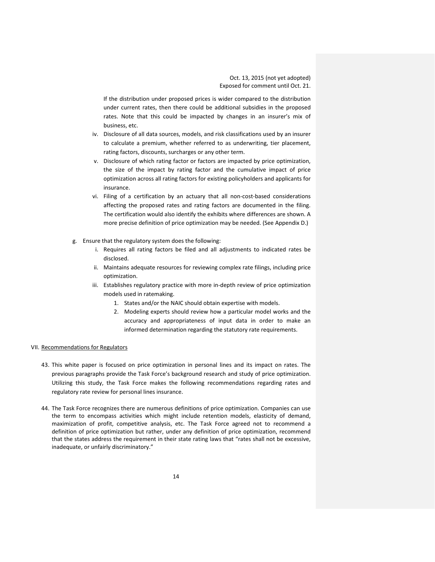If the distribution under proposed prices is wider compared to the distribution under current rates, then there could be additional subsidies in the proposed rates. Note that this could be impacted by changes in an insurer's mix of business, etc.

- iv. Disclosure of all data sources, models, and risk classifications used by an insurer to calculate a premium, whether referred to as underwriting, tier placement, rating factors, discounts, surcharges or any other term.
- v. Disclosure of which rating factor or factors are impacted by price optimization, the size of the impact by rating factor and the cumulative impact of price optimization across all rating factors for existing policyholders and applicants for insurance.
- vi. Filing of a certification by an actuary that all non-cost-based considerations affecting the proposed rates and rating factors are documented in the filing. The certification would also identify the exhibits where differences are shown. A more precise definition of price optimization may be needed. (See Appendix D.)
- g. Ensure that the regulatory system does the following:
	- i. Requires all rating factors be filed and all adjustments to indicated rates be disclosed.
	- ii. Maintains adequate resources for reviewing complex rate filings, including price optimization.
	- iii. Establishes regulatory practice with more in-depth review of price optimization models used in ratemaking.
		- 1. States and/or the NAIC should obtain expertise with models.
		- 2. Modeling experts should review how a particular model works and the accuracy and appropriateness of input data in order to make an informed determination regarding the statutory rate requirements.

#### VII. Recommendations for Regulators

- 43. This white paper is focused on price optimization in personal lines and its impact on rates. The previous paragraphs provide the Task Force's background research and study of price optimization. Utilizing this study, the Task Force makes the following recommendations regarding rates and regulatory rate review for personal lines insurance.
- 44. The Task Force recognizes there are numerous definitions of price optimization. Companies can use the term to encompass activities which might include retention models, elasticity of demand, maximization of profit, competitive analysis, etc. The Task Force agreed not to recommend a definition of price optimization but rather, under any definition of price optimization, recommend that the states address the requirement in their state rating laws that "rates shall not be excessive, inadequate, or unfairly discriminatory."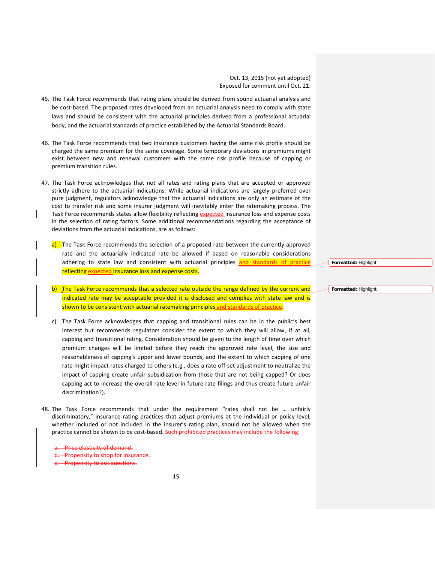- 45. The Task Force recommends that rating plans should be derived from sound actuarial analysis and be cost-based. The proposed rates developed from an actuarial analysis need to comply with state laws and should be consistent with the actuarial principles derived from a professional actuarial body, and the actuarial standards of practice established by the Actuarial Standards Board.
- 46. The Task Force recommends that two insurance customers having the same risk profile should be charged the same premium for the same coverage. Some temporary deviations in premiums might exist between new and renewal customers with the same risk profile because of capping or premium transition rules.
- 47. The Task Force acknowledges that not all rates and rating plans that are accepted or approved strictly adhere to the actuarial indications. While actuarial indications are largely preferred over pure judgment, regulators acknowledge that the actuarial indications are only an estimate of the cost to transfer risk and some insurer judgment will inevitably enter the ratemaking process. The Task Force recommends states allow flexibility reflecting expected insurance loss and expense costs in the selection of rating factors. Some additional recommendations regarding the acceptance of deviations from the actuarial indications, are as follows:
	- a) The Task Force recommends the selection of a proposed rate between the currently approved rate and the actuarially indicated rate be allowed if based on reasonable considerations adhering to state law and consistent with actuarial principles and standards of practice reflecting expected insurance loss and expense costs.
	- b) The Task Force recommends that a selected rate outside the range defined by the current and indicated rate may be acceptable provided it is disclosed and complies with state law and is shown to be consistent with actuarial ratemaking principles and standards of practice.
	- c) The Task Force acknowledges that capping and transitional rules can be in the public's best interest but recommends regulators consider the extent to which they will allow, if at all, capping and transitional rating. Consideration should be given to the length of time over which premium changes will be limited before they reach the approved rate level, the size and reasonableness of capping's upper and lower bounds, and the extent to which capping of one rate might impact rates charged to others (e.g., does a rate off-set adjustment to neutralize the impact of capping create unfair subsidization from those that are not being capped? Or does capping act to increase the overall rate level in future rate filings and thus create future unfair discrimination?).
- 48. The Task Force recommends that under the requirement "rates shall not be ... unfairly discriminatory," insurance rating practices that adjust premiums at the individual or policy level, whether included or not included in the insurer's rating plan, should not be allowed when the practice cannot be shown to be cost-based. Such prohibited practices may include the following:

Price elasticity of demand.

Propensity to shop for insurance.

Propensity to ask questions.

15

**Formatted:** Highlight

**Formatted:** Highlight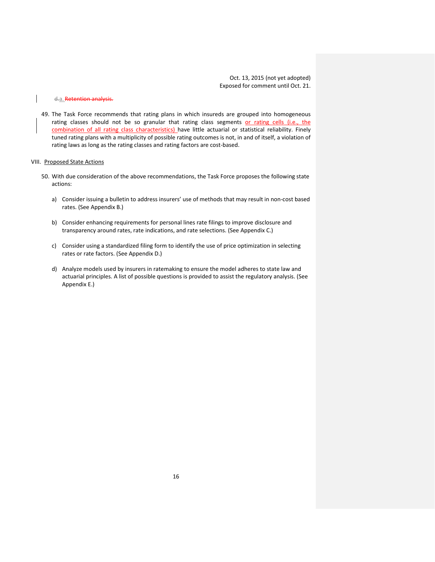#### d.a. Retention analysis.

49. The Task Force recommends that rating plans in which insureds are grouped into homogeneous rating classes should not be so granular that rating class segments or rating cells (i.e., the combination of all rating class characteristics) have little actuarial or statistical reliability. Finely tuned rating plans with a multiplicity of possible rating outcomes is not, in and of itself, a violation of rating laws as long as the rating classes and rating factors are cost-based.

#### VIII. Proposed State Actions

- 50. With due consideration of the above recommendations, the Task Force proposes the following state actions:
	- a) Consider issuing a bulletin to address insurers' use of methods that may result in non-cost based rates. (See Appendix B.)
	- b) Consider enhancing requirements for personal lines rate filings to improve disclosure and transparency around rates, rate indications, and rate selections. (See Appendix C.)
	- c) Consider using a standardized filing form to identify the use of price optimization in selecting rates or rate factors. (See Appendix D.)
	- d) Analyze models used by insurers in ratemaking to ensure the model adheres to state law and actuarial principles. A list of possible questions is provided to assist the regulatory analysis. (See Appendix E.)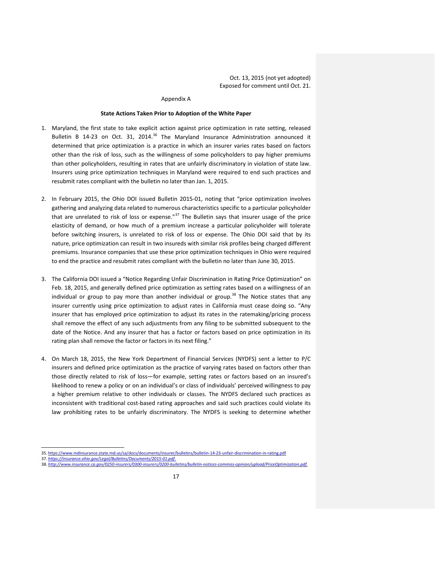#### Appendix A

#### **State Actions Taken Prior to Adoption of the White Paper**

- 1. Maryland, the first state to take explicit action against price optimization in rate setting, released Bulletin B 14-23 on Oct. 31, 2014.<sup>[36](#page-18-0)</sup> The Maryland Insurance Administration announced it determined that price optimization is a practice in which an insurer varies rates based on factors other than the risk of loss, such as the willingness of some policyholders to pay higher premiums than other policyholders, resulting in rates that are unfairly discriminatory in violation of state law. Insurers using price optimization techniques in Maryland were required to end such practices and resubmit rates compliant with the bulletin no later than Jan. 1, 2015.
- 2. In February 2015, the Ohio DOI issued Bulletin 2015-01, noting that "price optimization involves gathering and analyzing data related to numerous characteristics specific to a particular policyholder that are unrelated to risk of loss or expense." $37$  The Bulletin says that insurer usage of the price elasticity of demand, or how much of a premium increase a particular policyholder will tolerate before switching insurers, is unrelated to risk of loss or expense. The Ohio DOI said that by its nature, price optimization can result in two insureds with similar risk profiles being charged different premiums. Insurance companies that use these price optimization techniques in Ohio were required to end the practice and resubmit rates compliant with the bulletin no later than June 30, 2015.
- 3. The California DOI issued a "Notice Regarding Unfair Discrimination in Rating Price Optimization" on Feb. 18, 2015, and generally defined price optimization as setting rates based on a willingness of an individual or group to pay more than another individual or group.<sup>[38](#page-18-2)</sup> The Notice states that any insurer currently using price optimization to adjust rates in California must cease doing so. "Any insurer that has employed price optimization to adjust its rates in the ratemaking/pricing process shall remove the effect of any such adjustments from any filing to be submitted subsequent to the date of the Notice. And any insurer that has a factor or factors based on price optimization in its rating plan shall remove the factor or factors in its next filing."
- 4. On March 18, 2015, the New York Department of Financial Services (NYDFS) sent a letter to P/C insurers and defined price optimization as the practice of varying rates based on factors other than those directly related to risk of loss—for example, setting rates or factors based on an insured's likelihood to renew a policy or on an individual's or class of individuals' perceived willingness to pay a higher premium relative to other individuals or classes. The NYDFS declared such practices as inconsistent with traditional cost-based rating approaches and said such practices could violate its law prohibiting rates to be unfairly discriminatory. The NYDFS is seeking to determine whether

 <sup>35.</sup> <https://www.mdinsurance.state.md.us/sa/docs/documents/insurer/bulletins/bulletin-14-23-unfair-discrimination-in-rating.pdf>

<span id="page-18-2"></span><span id="page-18-1"></span><span id="page-18-0"></span><sup>37.</sup> *<https://insurance.ohio.gov/Legal/Bulletins/Documents/2015-01.pdf>*. 38. *<http://www.insurance.ca.gov/0250-insurers/0300-insurers/0200-bulletins/bulletin-notices-commiss-opinion/upload/PriceOptimization.pdf>*.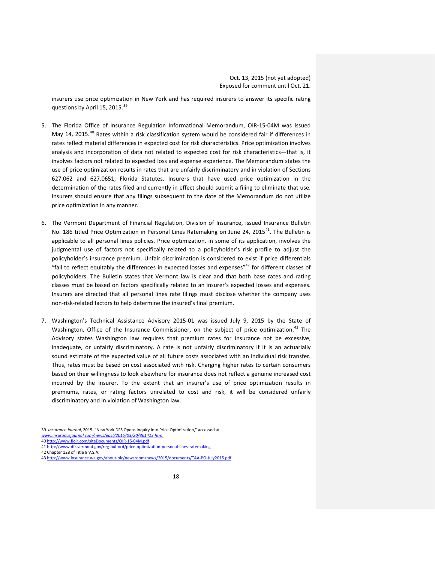insurers use price optimization in New York and has required insurers to answer its specific rating questions by April 15, 2015.<sup>[39](#page-19-0)</sup>

- 5. The Florida Office of Insurance Regulation Informational Memorandum, OIR-15-04M was issued May 14, 2015.<sup>[40](#page-19-1)</sup> Rates within a risk classification system would be considered fair if differences in rates reflect material differences in expected cost for risk characteristics. Price optimization involves analysis and incorporation of data not related to expected cost for risk characteristics—that is, it involves factors not related to expected loss and expense experience. The Memorandum states the use of price optimization results in rates that are unfairly discriminatory and in violation of Sections 627.062 and 627.0651, Florida Statutes. Insurers that have used price optimization in the determination of the rates filed and currently in effect should submit a filing to eliminate that use. Insurers should ensure that any filings subsequent to the date of the Memorandum do not utilize price optimization in any manner.
- 6. The Vermont Department of Financial Regulation, Division of Insurance, issued Insurance Bulletin No. 186 titled Price Optimization in Personal Lines Ratemaking on June 24, 2015<sup>41</sup>. The Bulletin is applicable to all personal lines policies. Price optimization, in some of its application, involves the judgmental use of factors not specifically related to a policyholder's risk profile to adjust the policyholder's insurance premium. Unfair discrimination is considered to exist if price differentials "fail to reflect equitably the differences in expected losses and expenses" $^{42}$  $^{42}$  $^{42}$  for different classes of policyholders. The Bulletin states that Vermont law is clear and that both base rates and rating classes must be based on factors specifically related to an insurer's expected losses and expenses. Insurers are directed that all personal lines rate filings must disclose whether the company uses non-risk-related factors to help determine the insured's final premium.
- 7. Washington's Technical Assistance Advisory 2015-01 was issued July 9, 2015 by the State of Washington, Office of the Insurance Commissioner, on the subject of price optimization.<sup>[43](#page-19-4)</sup> The Advisory states Washington law requires that premium rates for insurance not be excessive, inadequate, or unfairly discriminatory. A rate is not unfairly discriminatory if it is an actuarially sound estimate of the expected value of all future costs associated with an individual risk transfer. Thus, rates must be based on cost associated with risk. Charging higher rates to certain consumers based on their willingness to look elsewhere for insurance does not reflect a genuine increased cost incurred by the insurer. To the extent that an insurer's use of price optimization results in premiums, rates, or rating factors unrelated to cost and risk, it will be considered unfairly discriminatory and in violation of Washington law.

 <sup>39.</sup> *Insurance Journal*, 2015. "New York DFS Opens Inquiry Into Price Optimization," accessed at *www.insurancejournal.com/news/east/2015/03/20/361413.htm*.

<sup>40</sup> <http://www.floir.com/siteDocuments/OIR-15-04M.pdf>

<sup>41</sup> <http://www.dfr.vermont.gov/reg-bul-ord/price-optimization-personal-lines-ratemaking>

<sup>42</sup> Chapter 128 of Title 8 V.S.A.

<span id="page-19-4"></span><span id="page-19-3"></span><span id="page-19-2"></span><span id="page-19-1"></span><span id="page-19-0"></span><sup>43</sup> <http://www.insurance.wa.gov/about-oic/newsroom/news/2015/documents/TAA-PO-July2015.pdf>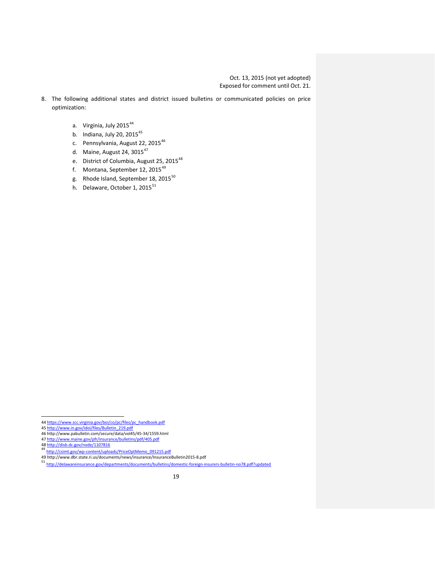- 8. The following additional states and district issued bulletins or communicated policies on price optimization:
	- a. Virginia, July 2015<sup>[44](#page-20-0)</sup>
	- b. Indiana, July 20,  $2015<sup>45</sup>$  $2015<sup>45</sup>$  $2015<sup>45</sup>$
	- c. Pennsylvania, August 22, 2015<sup>[46](#page-20-2)</sup>
	- d. Maine, August 24,  $3015^{47}$  $3015^{47}$  $3015^{47}$
	- e. District of Columbia, August 25, 2015<sup>[48](#page-20-4)</sup>
	- f. Montana, September 12, 2015<sup>[49](#page-20-5)</sup>
	- g. Rhode Island, September 18, 2015<sup>[50](#page-20-6)</sup>
	- h. Delaware, October 1, 2015<sup>[51](#page-20-7)</sup>

- 45 [http://www.in.gov/idoi/files/Bulletin\\_219.pdf](http://www.in.gov/idoi/files/Bulletin_219.pdf)
- 46 http://www.pabulletin.com/secure/data/vol45/45-34/1559.html
- 47 <u><http://www.maine.gov/pfr/insurance/bulletins/pdf/405.pdf></u><br>48 <u><http://disb.dc.gov/node/1107816></u><br><sup>49</sup> <u>[http://csimt.gov/wp-content/uploads/PriceOptMemo\\_091215.pdf](http://csimt.gov/wp-content/uploads/PriceOptMemo_091215.pdf)</u>

 <sup>44</sup> [https://www.scc.virginia.gov/boi/co/pc/files/pc\\_handbook.pdf](https://www.scc.virginia.gov/boi/co/pc/files/pc_handbook.pdf)

<span id="page-20-7"></span><span id="page-20-6"></span><span id="page-20-5"></span><span id="page-20-4"></span><span id="page-20-3"></span><span id="page-20-2"></span>

<span id="page-20-1"></span><span id="page-20-0"></span><sup>49</sup> http://www.dbr.state.ri.us/documents/news/insurance/InsuranceBulletin2015-8.pdf <sup>51</sup> <http://delawareinsurance.gov/departments/documents/bulletins/domestic-foreign-insurers-bulletin-no78.pdf?updated>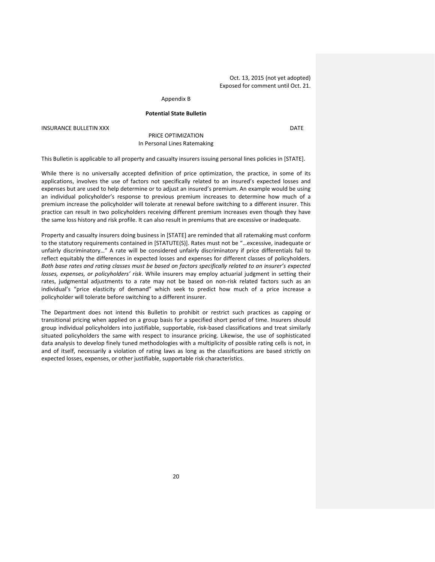Appendix B

## **Potential State Bulletin**

**INSURANCE BULLETIN XXX** DATE

PRICE OPTIMIZATION In Personal Lines Ratemaking

This Bulletin is applicable to all property and casualty insurers issuing personal lines policies in [STATE].

While there is no universally accepted definition of price optimization, the practice, in some of its applications, involves the use of factors not specifically related to an insured's expected losses and expenses but are used to help determine or to adjust an insured's premium. An example would be using an individual policyholder's response to previous premium increases to determine how much of a premium increase the policyholder will tolerate at renewal before switching to a different insurer. This practice can result in two policyholders receiving different premium increases even though they have the same loss history and risk profile. It can also result in premiums that are excessive or inadequate.

Property and casualty insurers doing business in [STATE] are reminded that all ratemaking must conform to the statutory requirements contained in [STATUTE(S)]. Rates must not be "…excessive, inadequate or unfairly discriminatory…" A rate will be considered unfairly discriminatory if price differentials fail to reflect equitably the differences in expected losses and expenses for different classes of policyholders. *Both base rates and rating classes must be based on factors specifically related to an insurer's expected losses, expenses, or policyholders' risk*. While insurers may employ actuarial judgment in setting their rates, judgmental adjustments to a rate may not be based on non-risk related factors such as an individual's "price elasticity of demand" which seek to predict how much of a price increase a policyholder will tolerate before switching to a different insurer.

The Department does not intend this Bulletin to prohibit or restrict such practices as capping or transitional pricing when applied on a group basis for a specified short period of time. Insurers should group individual policyholders into justifiable, supportable, risk-based classifications and treat similarly situated policyholders the same with respect to insurance pricing. Likewise, the use of sophisticated data analysis to develop finely tuned methodologies with a multiplicity of possible rating cells is not, in and of itself, necessarily a violation of rating laws as long as the classifications are based strictly on expected losses, expenses, or other justifiable, supportable risk characteristics.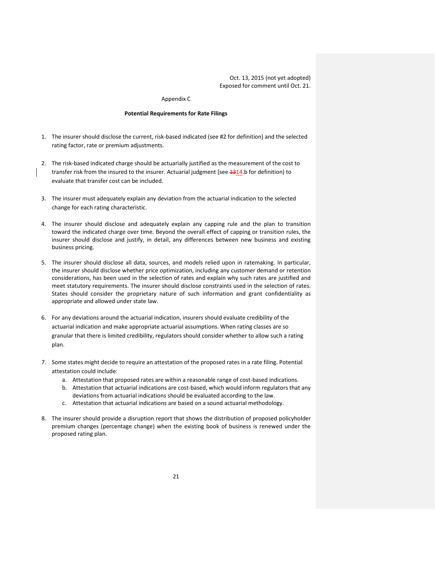#### Appendix C

#### **Potential Requirements for Rate Filings**

- 1. The insurer should disclose the current, risk-based indicated (see #2 for definition) and the selected rating factor, rate or premium adjustments.
- 2. The risk-based indicated charge should be actuarially justified as the measurement of the cost to transfer risk from the insured to the insurer. Actuarial judgment [see 1314.b for definition) to evaluate that transfer cost can be included.
- 3. The insurer must adequately explain any deviation from the actuarial indication to the selected change for each rating characteristic.
- 4. The insurer should disclose and adequately explain any capping rule and the plan to transition toward the indicated charge over time. Beyond the overall effect of capping or transition rules, the insurer should disclose and justify, in detail, any differences between new business and existing business pricing.
- 5. The insurer should disclose all data, sources, and models relied upon in ratemaking. In particular, the insurer should disclose whether price optimization, including any customer demand or retention considerations, has been used in the selection of rates and explain why such rates are justified and meet statutory requirements. The insurer should disclose constraints used in the selection of rates. States should consider the proprietary nature of such information and grant confidentiality as appropriate and allowed under state law.
- 6. For any deviations around the actuarial indication, insurers should evaluate credibility of the actuarial indication and make appropriate actuarial assumptions. When rating classes are so granular that there is limited credibility, regulators should consider whether to allow such a rating plan.
- 7. Some states might decide to require an attestation of the proposed rates in a rate filing. Potential attestation could include:
	- a. Attestation that proposed rates are within a reasonable range of cost-based indications.
	- b. Attestation that actuarial indications are cost-based, which would inform regulators that any deviations from actuarial indications should be evaluated according to the law.
	- c. Attestation that actuarial indications are based on a sound actuarial methodology.
- 8. The insurer should provide a disruption report that shows the distribution of proposed policyholder premium changes (percentage change) when the existing book of business is renewed under the proposed rating plan.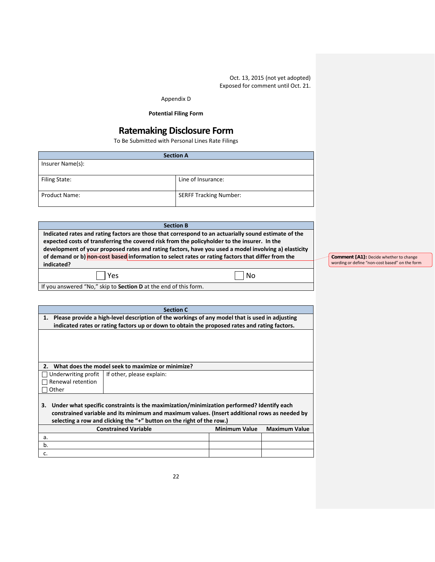Appendix D

## **Potential Filing Form**

# **Ratemaking Disclosure Form**

To Be Submitted with Personal Lines Rate Filings

| <b>Section A</b>     |                               |  |
|----------------------|-------------------------------|--|
| Insurer Name(s):     |                               |  |
|                      |                               |  |
| Filing State:        | Line of Insurance:            |  |
|                      |                               |  |
| <b>Product Name:</b> | <b>SERFF Tracking Number:</b> |  |
|                      |                               |  |

| <b>Section B</b>                                                                                     |    |  |
|------------------------------------------------------------------------------------------------------|----|--|
| Indicated rates and rating factors are those that correspond to an actuarially sound estimate of the |    |  |
| expected costs of transferring the covered risk from the policyholder to the insurer. In the         |    |  |
| development of your proposed rates and rating factors, have you used a model involving a) elasticity |    |  |
| of demand or b) non-cost based information to select rates or rating factors that differ from the    |    |  |
| indicated?                                                                                           |    |  |
| l Yes                                                                                                | No |  |
| If you answered "No," skip to Section D at the end of this form.                                     |    |  |

| Please provide a high-level description of the workings of any model that is used in adjusting |  |  |  |
|------------------------------------------------------------------------------------------------|--|--|--|
| indicated rates or rating factors up or down to obtain the proposed rates and rating factors.  |  |  |  |
|                                                                                                |  |  |  |
|                                                                                                |  |  |  |
|                                                                                                |  |  |  |
|                                                                                                |  |  |  |
|                                                                                                |  |  |  |
|                                                                                                |  |  |  |
|                                                                                                |  |  |  |
|                                                                                                |  |  |  |
|                                                                                                |  |  |  |
| Under what specific constraints is the maximization/minimization performed? Identify each      |  |  |  |
| constrained variable and its minimum and maximum values. (Insert additional rows as needed by  |  |  |  |
| selecting a row and clicking the "+" button on the right of the row.)                          |  |  |  |
| <b>Minimum Value</b><br><b>Maximum Value</b>                                                   |  |  |  |
|                                                                                                |  |  |  |
|                                                                                                |  |  |  |
|                                                                                                |  |  |  |
|                                                                                                |  |  |  |

**Comment [A1]:** Decide whether to change wording or define "non-cost based" on the form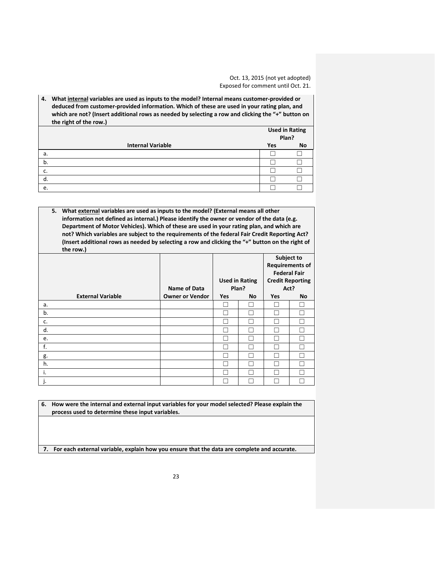**4. What internal variables are used as inputs to the model? Internal means customer-provided or deduced from customer-provided information. Which of these are used in your rating plan, and which are not? (Insert additional rows as needed by selecting a row and clicking the "+" button on the right of the row.)**

|                          | <b>Used in Rating</b><br>Plan? |    |
|--------------------------|--------------------------------|----|
| <b>Internal Variable</b> | Yes                            | No |
| a.                       |                                |    |
| b.                       |                                |    |
| c.                       |                                |    |
| d                        |                                |    |
| e.                       |                                |    |

**5. What external variables are used as inputs to the model? (External means all other information not defined as internal.) Please identify the owner or vendor of the data (e.g. Department of Motor Vehicles). Which of these are used in your rating plan, and which are not? Which variables are subject to the requirements of the federal Fair Credit Reporting Act? (Insert additional rows as needed by selecting a row and clicking the "+" button on the right of the row.)** 

|                          | Name of Data           |     | <b>Used in Rating</b><br>Plan? | Act? | Subject to<br><b>Requirements of</b><br><b>Federal Fair</b><br><b>Credit Reporting</b> |
|--------------------------|------------------------|-----|--------------------------------|------|----------------------------------------------------------------------------------------|
| <b>External Variable</b> | <b>Owner or Vendor</b> | Yes | No                             | Yes  | No                                                                                     |
| a.                       |                        | Г   | П                              | Τ    | Г                                                                                      |
| b.                       |                        |     |                                |      |                                                                                        |
| c.                       |                        |     |                                |      |                                                                                        |
| d.                       |                        |     |                                |      |                                                                                        |
| e.                       |                        |     |                                |      |                                                                                        |
| f.                       |                        | Τ   |                                |      |                                                                                        |
| g.                       |                        |     |                                |      |                                                                                        |
| h.                       |                        |     |                                |      |                                                                                        |
| ۱.                       |                        |     |                                |      |                                                                                        |
| ı٠                       |                        |     |                                |      |                                                                                        |

**6. How were the internal and external input variables for your model selected? Please explain the process used to determine these input variables.** 

**7. For each external variable, explain how you ensure that the data are complete and accurate.**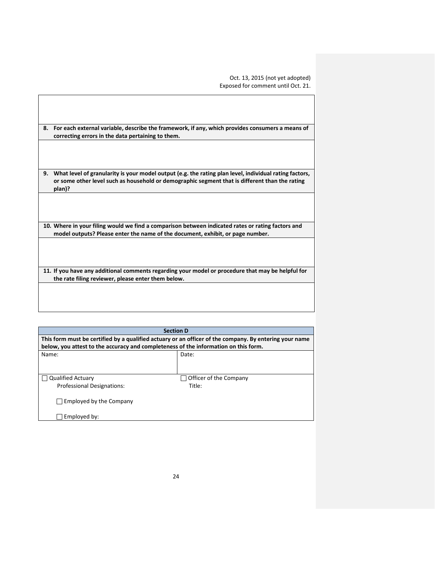| For each external variable, describe the framework, if any, which provides consumers a means of<br>8.<br>correcting errors in the data pertaining to them.                                                               |
|--------------------------------------------------------------------------------------------------------------------------------------------------------------------------------------------------------------------------|
|                                                                                                                                                                                                                          |
| What level of granularity is your model output (e.g. the rating plan level, individual rating factors,<br>9.<br>or some other level such as household or demographic segment that is different than the rating<br>plan)? |
|                                                                                                                                                                                                                          |
| 10. Where in your filing would we find a comparison between indicated rates or rating factors and<br>model outputs? Please enter the name of the document, exhibit, or page number.                                      |
|                                                                                                                                                                                                                          |
| 11. If you have any additional comments regarding your model or procedure that may be helpful for<br>the rate filing reviewer, please enter them below.                                                                  |
|                                                                                                                                                                                                                          |

 $\overline{\phantom{a}}$ 

| <b>Section D</b>                                                                                       |                               |  |
|--------------------------------------------------------------------------------------------------------|-------------------------------|--|
| This form must be certified by a qualified actuary or an officer of the company. By entering your name |                               |  |
| below, you attest to the accuracy and completeness of the information on this form.                    |                               |  |
| Name:                                                                                                  | Date:                         |  |
|                                                                                                        |                               |  |
|                                                                                                        |                               |  |
| Qualified Actuary                                                                                      | $\Box$ Officer of the Company |  |
| <b>Professional Designations:</b>                                                                      | Title:                        |  |
|                                                                                                        |                               |  |
| Employed by the Company                                                                                |                               |  |
| Employed by:                                                                                           |                               |  |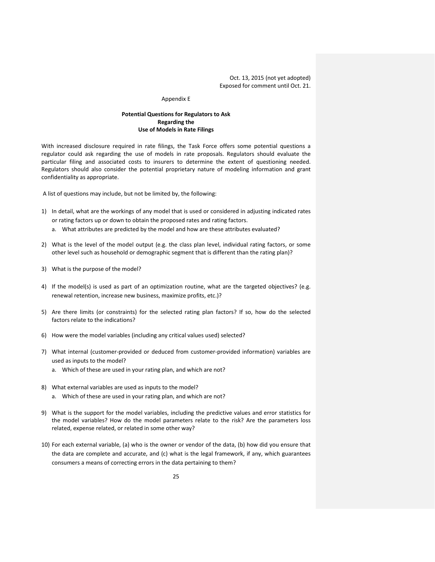#### Appendix E

## **Potential Questions for Regulators to Ask Regarding the Use of Models in Rate Filings**

With increased disclosure required in rate filings, the Task Force offers some potential questions a regulator could ask regarding the use of models in rate proposals. Regulators should evaluate the particular filing and associated costs to insurers to determine the extent of questioning needed. Regulators should also consider the potential proprietary nature of modeling information and grant confidentiality as appropriate.

A list of questions may include, but not be limited by, the following:

- 1) In detail, what are the workings of any model that is used or considered in adjusting indicated rates or rating factors up or down to obtain the proposed rates and rating factors.
	- a. What attributes are predicted by the model and how are these attributes evaluated?
- 2) What is the level of the model output (e.g. the class plan level, individual rating factors, or some other level such as household or demographic segment that is different than the rating plan)?
- 3) What is the purpose of the model?
- 4) If the model(s) is used as part of an optimization routine, what are the targeted objectives? (e.g. renewal retention, increase new business, maximize profits, etc.)?
- 5) Are there limits (or constraints) for the selected rating plan factors? If so, how do the selected factors relate to the indications?
- 6) How were the model variables (including any critical values used) selected?
- 7) What internal (customer-provided or deduced from customer-provided information) variables are used as inputs to the model?
	- a. Which of these are used in your rating plan, and which are not?
- 8) What external variables are used as inputs to the model? a. Which of these are used in your rating plan, and which are not?
- 9) What is the support for the model variables, including the predictive values and error statistics for the model variables? How do the model parameters relate to the risk? Are the parameters loss related, expense related, or related in some other way?
- 10) For each external variable, (a) who is the owner or vendor of the data, (b) how did you ensure that the data are complete and accurate, and (c) what is the legal framework, if any, which guarantees consumers a means of correcting errors in the data pertaining to them?